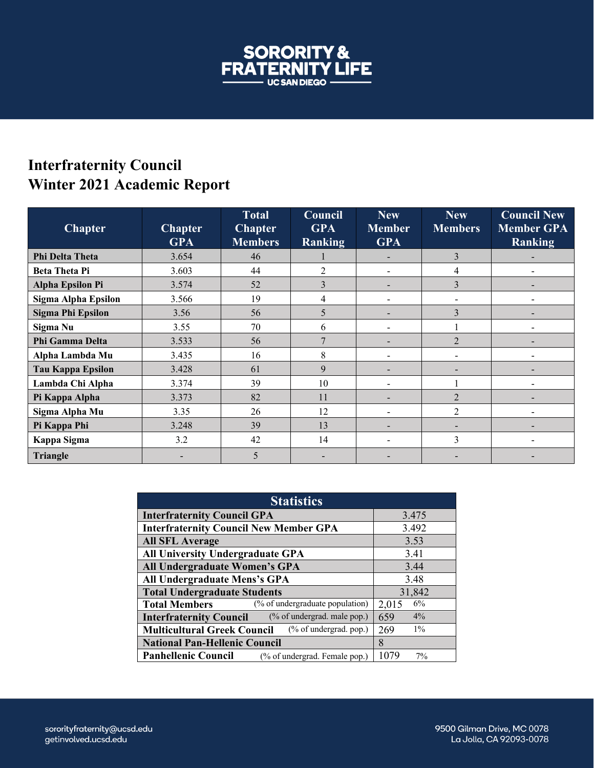

## **Interfraternity Council Winter 2021 Academic Report**

| <b>Chapter</b>           | <b>Chapter</b><br><b>GPA</b> | <b>Total</b><br><b>Chapter</b><br><b>Members</b> | Council<br><b>GPA</b><br>Ranking | <b>New</b><br><b>Member</b><br><b>GPA</b> | <b>New</b><br><b>Members</b> | <b>Council New</b><br><b>Member GPA</b><br>Ranking |
|--------------------------|------------------------------|--------------------------------------------------|----------------------------------|-------------------------------------------|------------------------------|----------------------------------------------------|
| Phi Delta Theta          | 3.654                        | 46                                               |                                  |                                           | 3                            |                                                    |
| <b>Beta Theta Pi</b>     | 3.603                        | 44                                               | $\mathfrak{D}$                   |                                           | 4                            |                                                    |
| <b>Alpha Epsilon Pi</b>  | 3.574                        | 52                                               | 3                                |                                           | 3                            |                                                    |
| Sigma Alpha Epsilon      | 3.566                        | 19                                               | 4                                |                                           |                              |                                                    |
| <b>Sigma Phi Epsilon</b> | 3.56                         | 56                                               | 5                                |                                           | 3                            |                                                    |
| Sigma Nu                 | 3.55                         | 70                                               | 6                                |                                           |                              |                                                    |
| Phi Gamma Delta          | 3.533                        | 56                                               | 7                                |                                           | $\mathfrak{D}$               |                                                    |
| Alpha Lambda Mu          | 3.435                        | 16                                               | 8                                |                                           |                              |                                                    |
| <b>Tau Kappa Epsilon</b> | 3.428                        | 61                                               | 9                                |                                           |                              |                                                    |
| Lambda Chi Alpha         | 3.374                        | 39                                               | 10                               |                                           |                              |                                                    |
| Pi Kappa Alpha           | 3.373                        | 82                                               | 11                               |                                           | $\mathfrak{D}$               |                                                    |
| Sigma Alpha Mu           | 3.35                         | 26                                               | 12                               |                                           | $\overline{2}$               |                                                    |
| Pi Kappa Phi             | 3.248                        | 39                                               | 13                               |                                           |                              |                                                    |
| Kappa Sigma              | 3.2                          | 42                                               | 14                               |                                           | 3                            |                                                    |
| <b>Triangle</b>          |                              | 5                                                |                                  |                                           |                              |                                                    |

| <b>Statistics</b>                                             |              |  |  |  |
|---------------------------------------------------------------|--------------|--|--|--|
| <b>Interfraternity Council GPA</b>                            | 3.475        |  |  |  |
| <b>Interfraternity Council New Member GPA</b>                 | 3.492        |  |  |  |
| <b>All SFL Average</b>                                        | 3.53         |  |  |  |
| All University Undergraduate GPA                              | 3.41         |  |  |  |
| All Undergraduate Women's GPA                                 | 3.44         |  |  |  |
| All Undergraduate Mens's GPA                                  | 3.48         |  |  |  |
| <b>Total Undergraduate Students</b>                           | 31,842       |  |  |  |
| (% of undergraduate population)<br><b>Total Members</b>       | 6%<br>2,015  |  |  |  |
| (% of undergrad. male pop.)<br><b>Interfraternity Council</b> | $4\%$<br>659 |  |  |  |
| (% of undergrad. pop.)<br><b>Multicultural Greek Council</b>  | $1\%$<br>269 |  |  |  |
| <b>National Pan-Hellenic Council</b>                          | $\mathsf{R}$ |  |  |  |
| <b>Panhellenic Council</b><br>(% of undergrad. Female pop.)   | 1079<br>7%   |  |  |  |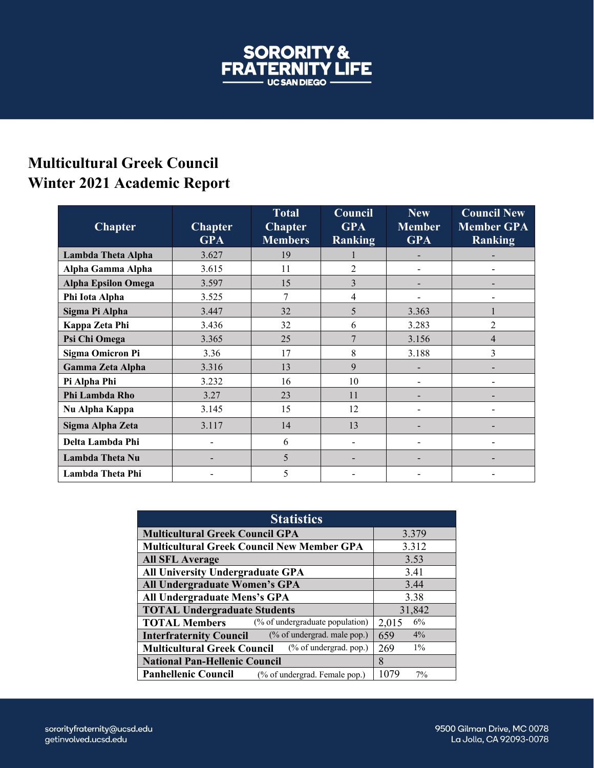

## **Multicultural Greek Council Winter 2021 Academic Report**

| <b>Chapter</b>             | <b>Chapter</b><br><b>GPA</b> | <b>Total</b><br><b>Chapter</b><br><b>Members</b> | Council<br><b>GPA</b><br><b>Ranking</b> | New<br><b>Member</b><br><b>GPA</b> | $\overline{\text{Count}}$ New<br><b>Member GPA</b><br>Ranking |
|----------------------------|------------------------------|--------------------------------------------------|-----------------------------------------|------------------------------------|---------------------------------------------------------------|
| Lambda Theta Alpha         | 3.627                        | 19                                               |                                         |                                    |                                                               |
| Alpha Gamma Alpha          | 3.615                        | 11                                               | $\overline{2}$                          | $\overline{\phantom{0}}$           |                                                               |
| <b>Alpha Epsilon Omega</b> | 3.597                        | 15                                               | $\overline{3}$                          |                                    |                                                               |
| Phi Iota Alpha             | 3.525                        | 7                                                | 4                                       |                                    |                                                               |
| Sigma Pi Alpha             | 3.447                        | 32                                               | 5                                       | 3.363                              |                                                               |
| Kappa Zeta Phi             | 3.436                        | 32                                               | 6                                       | 3.283                              | 2                                                             |
| Psi Chi Omega              | 3.365                        | 25                                               | 7                                       | 3.156                              | 4                                                             |
| <b>Sigma Omicron Pi</b>    | 3.36                         | 17                                               | 8                                       | 3.188                              | 3                                                             |
| <b>Gamma Zeta Alpha</b>    | 3.316                        | 13                                               | 9                                       |                                    |                                                               |
| Pi Alpha Phi               | 3.232                        | 16                                               | 10                                      |                                    |                                                               |
| Phi Lambda Rho             | 3.27                         | 23                                               | 11                                      |                                    |                                                               |
| Nu Alpha Kappa             | 3.145                        | 15                                               | 12                                      |                                    |                                                               |
| Sigma Alpha Zeta           | 3.117                        | 14                                               | 13                                      |                                    |                                                               |
| Delta Lambda Phi           |                              | 6                                                |                                         | $\overline{\phantom{0}}$           |                                                               |
| Lambda Theta Nu            |                              | 5                                                |                                         | -                                  |                                                               |
| Lambda Theta Phi           |                              | 5                                                |                                         |                                    |                                                               |

| <b>Statistics</b>                                               |              |  |  |  |
|-----------------------------------------------------------------|--------------|--|--|--|
| <b>Multicultural Greek Council GPA</b>                          | 3.379        |  |  |  |
| <b>Multicultural Greek Council New Member GPA</b>               | 3.312        |  |  |  |
| <b>All SFL Average</b>                                          | 3.53         |  |  |  |
| <b>All University Undergraduate GPA</b>                         | 3.41         |  |  |  |
| All Undergraduate Women's GPA                                   | 3.44         |  |  |  |
| All Undergraduate Mens's GPA                                    | 3.38         |  |  |  |
| <b>TOTAL Undergraduate Students</b>                             | 31,842       |  |  |  |
| (% of undergraduate population)<br><b>TOTAL Members</b>         | 6%<br>2,015  |  |  |  |
| (% of undergrad. male pop.)<br><b>Interfraternity Council</b>   | 4%<br>659    |  |  |  |
| $(\%$ of undergrad. pop.)<br><b>Multicultural Greek Council</b> | $1\%$<br>269 |  |  |  |
| <b>National Pan-Hellenic Council</b>                            | 8            |  |  |  |
| <b>Panhellenic Council</b><br>(% of undergrad. Female pop.)     | 1079<br>7%   |  |  |  |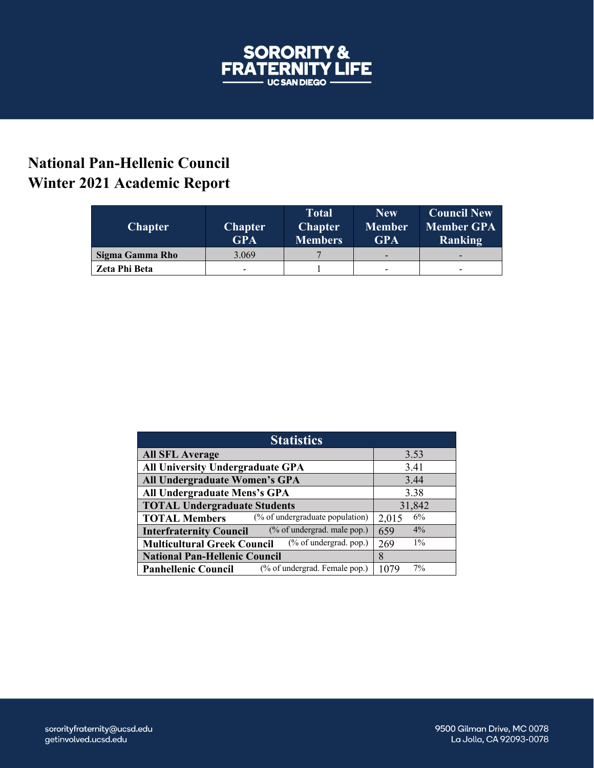

## **National Pan-Hellenic Council Winter 2021 Academic Report**

| <b>Chapter</b>  | <b>Chapter</b><br><b>GPA</b> | <b>Total</b><br><b>Chapter</b><br><b>Members</b> | <b>New</b><br><b>Member</b><br><b>GPA</b> | <b>Council New</b><br><b>Member GPA</b><br><b>Ranking</b> |
|-----------------|------------------------------|--------------------------------------------------|-------------------------------------------|-----------------------------------------------------------|
| Sigma Gamma Rho | 3.069                        |                                                  | -                                         | -                                                         |
| Zeta Phi Beta   | -                            |                                                  |                                           | -                                                         |

| <b>Statistics</b>                                             |              |  |  |  |
|---------------------------------------------------------------|--------------|--|--|--|
| <b>All SFL Average</b>                                        | 3.53         |  |  |  |
| <b>All University Undergraduate GPA</b>                       | 3.41         |  |  |  |
| All Undergraduate Women's GPA                                 | 3.44         |  |  |  |
| All Undergraduate Mens's GPA                                  | 3.38         |  |  |  |
| <b>TOTAL Undergraduate Students</b>                           | 31,842       |  |  |  |
| (% of undergraduate population)<br><b>TOTAL Members</b>       | 6%<br>2,015  |  |  |  |
| (% of undergrad. male pop.)<br><b>Interfraternity Council</b> | $4\%$<br>659 |  |  |  |
| (% of undergrad. pop.)<br><b>Multicultural Greek Council</b>  | $1\%$<br>269 |  |  |  |
| <b>National Pan-Hellenic Council</b>                          | 8            |  |  |  |
| (% of undergrad. Female pop.)<br><b>Panhellenic Council</b>   | 7%<br>1079   |  |  |  |